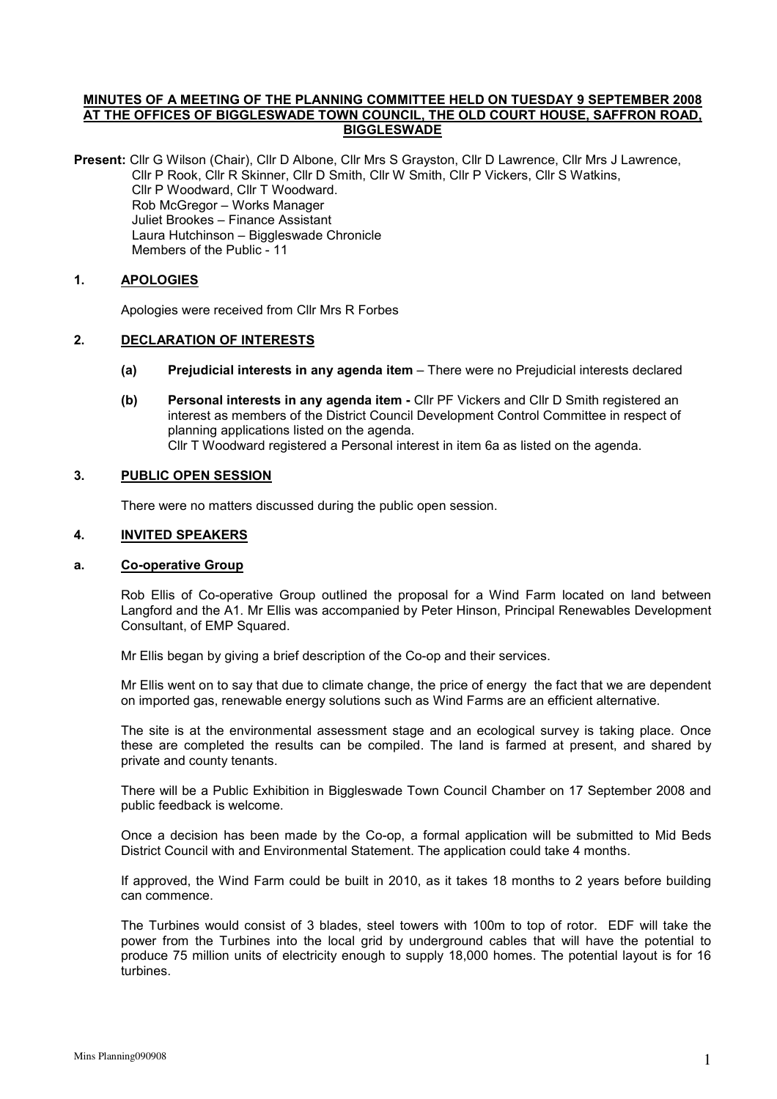## MINUTES OF A MEETING OF THE PLANNING COMMITTEE HELD ON TUESDAY 9 SEPTEMBER 2008 AT THE OFFICES OF BIGGLESWADE TOWN COUNCIL, THE OLD COURT HOUSE, SAFFRON ROAD, BIGGLESWADE

Present: Cllr G Wilson (Chair), Cllr D Albone, Cllr Mrs S Grayston, Cllr D Lawrence, Cllr Mrs J Lawrence, Cllr P Rook, Cllr R Skinner, Cllr D Smith, Cllr W Smith, Cllr P Vickers, Cllr S Watkins, Cllr P Woodward, Cllr T Woodward. Rob McGregor – Works Manager Juliet Brookes – Finance Assistant Laura Hutchinson – Biggleswade Chronicle Members of the Public - 11

# 1. APOLOGIES

Apologies were received from Cllr Mrs R Forbes

# 2. DECLARATION OF INTERESTS

- (a) Prejudicial interests in any agenda item There were no Prejudicial interests declared
- (b) Personal interests in any agenda item Cllr PF Vickers and Cllr D Smith registered an interest as members of the District Council Development Control Committee in respect of planning applications listed on the agenda. Cllr T Woodward registered a Personal interest in item 6a as listed on the agenda.

## 3. PUBLIC OPEN SESSION

There were no matters discussed during the public open session.

## 4. INVITED SPEAKERS

#### a. Co-operative Group

Rob Ellis of Co-operative Group outlined the proposal for a Wind Farm located on land between Langford and the A1. Mr Ellis was accompanied by Peter Hinson, Principal Renewables Development Consultant, of EMP Squared.

Mr Ellis began by giving a brief description of the Co-op and their services.

Mr Ellis went on to say that due to climate change, the price of energy the fact that we are dependent on imported gas, renewable energy solutions such as Wind Farms are an efficient alternative.

The site is at the environmental assessment stage and an ecological survey is taking place. Once these are completed the results can be compiled. The land is farmed at present, and shared by private and county tenants.

There will be a Public Exhibition in Biggleswade Town Council Chamber on 17 September 2008 and public feedback is welcome.

Once a decision has been made by the Co-op, a formal application will be submitted to Mid Beds District Council with and Environmental Statement. The application could take 4 months.

If approved, the Wind Farm could be built in 2010, as it takes 18 months to 2 years before building can commence.

The Turbines would consist of 3 blades, steel towers with 100m to top of rotor. EDF will take the power from the Turbines into the local grid by underground cables that will have the potential to produce 75 million units of electricity enough to supply 18,000 homes. The potential layout is for 16 turbines.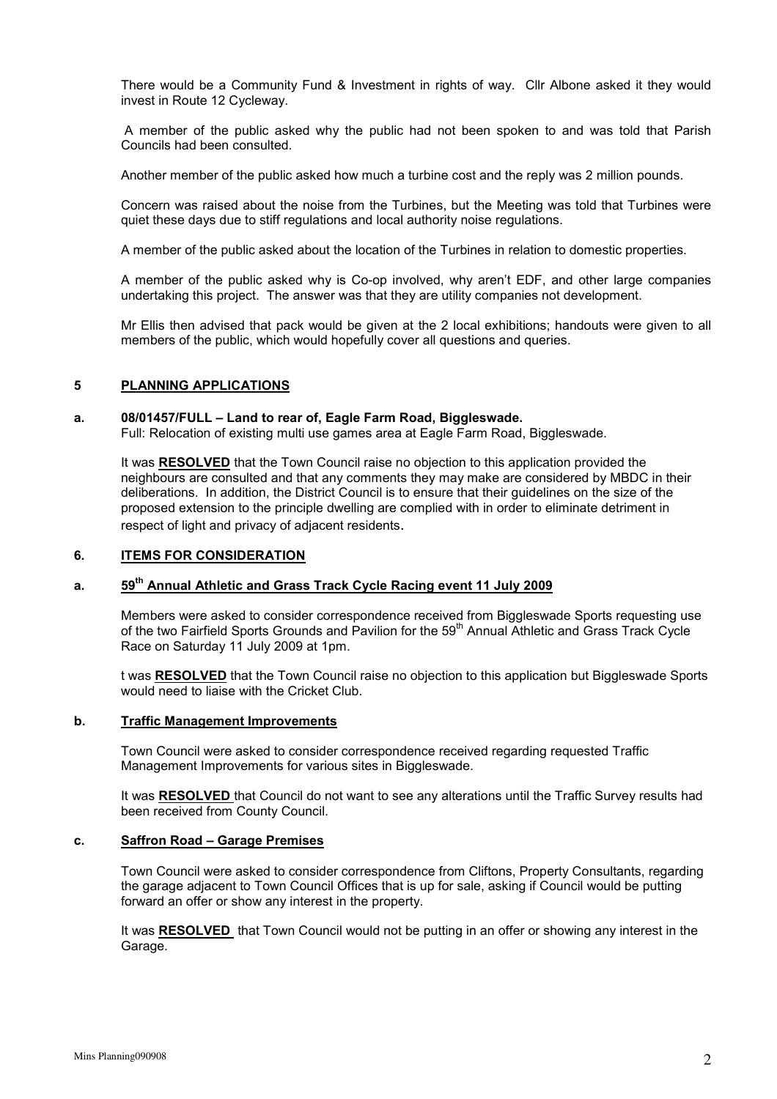There would be a Community Fund & Investment in rights of way. Cllr Albone asked it they would invest in Route 12 Cycleway.

 A member of the public asked why the public had not been spoken to and was told that Parish Councils had been consulted.

Another member of the public asked how much a turbine cost and the reply was 2 million pounds.

Concern was raised about the noise from the Turbines, but the Meeting was told that Turbines were quiet these days due to stiff regulations and local authority noise regulations.

A member of the public asked about the location of the Turbines in relation to domestic properties.

A member of the public asked why is Co-op involved, why aren't EDF, and other large companies undertaking this project. The answer was that they are utility companies not development.

Mr Ellis then advised that pack would be given at the 2 local exhibitions; handouts were given to all members of the public, which would hopefully cover all questions and queries.

### 5 PLANNING APPLICATIONS

#### a. 08/01457/FULL – Land to rear of, Eagle Farm Road, Biggleswade.

Full: Relocation of existing multi use games area at Eagle Farm Road, Biggleswade.

It was RESOLVED that the Town Council raise no objection to this application provided the neighbours are consulted and that any comments they may make are considered by MBDC in their deliberations. In addition, the District Council is to ensure that their guidelines on the size of the proposed extension to the principle dwelling are complied with in order to eliminate detriment in respect of light and privacy of adjacent residents.

# 6. ITEMS FOR CONSIDERATION

## a. 59<sup>th</sup> Annual Athletic and Grass Track Cycle Racing event 11 July 2009

Members were asked to consider correspondence received from Biggleswade Sports requesting use of the two Fairfield Sports Grounds and Pavilion for the 59<sup>th</sup> Annual Athletic and Grass Track Cycle Race on Saturday 11 July 2009 at 1pm.

t was RESOLVED that the Town Council raise no objection to this application but Biggleswade Sports would need to liaise with the Cricket Club.

### b. Traffic Management Improvements

Town Council were asked to consider correspondence received regarding requested Traffic Management Improvements for various sites in Biggleswade.

It was RESOLVED that Council do not want to see any alterations until the Traffic Survey results had been received from County Council.

### c. Saffron Road – Garage Premises

Town Council were asked to consider correspondence from Cliftons, Property Consultants, regarding the garage adjacent to Town Council Offices that is up for sale, asking if Council would be putting forward an offer or show any interest in the property.

It was RESOLVED that Town Council would not be putting in an offer or showing any interest in the Garage.